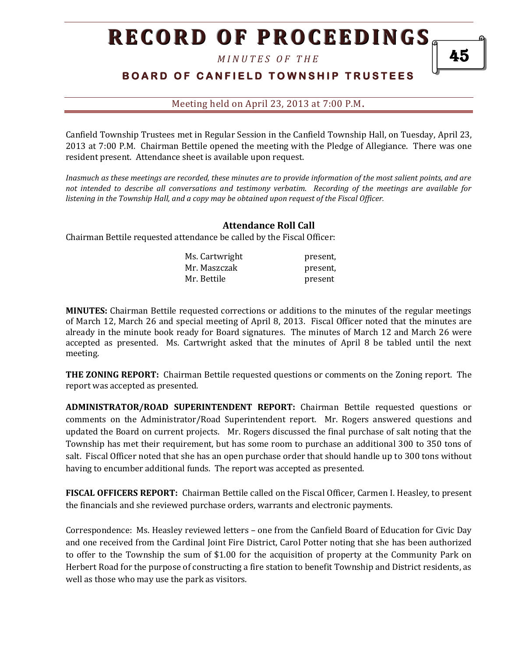*M I N U T E S O F T H E* 

### **BOARD OF CANFIELD TOWNSHIP TRUSTEES**

Meeting held on April 23, 2013 at 7:00 P.M**.**

Canfield Township Trustees met in Regular Session in the Canfield Township Hall, on Tuesday, April 23, 2013 at 7:00 P.M. Chairman Bettile opened the meeting with the Pledge of Allegiance. There was one resident present. Attendance sheet is available upon request.

*Inasmuch as these meetings are recorded, these minutes are to provide information of the most salient points, and are not intended to describe all conversations and testimony verbatim. Recording of the meetings are available for listening in the Township Hall, and a copy may be obtained upon request of the Fiscal Officer.* 

#### **Attendance Roll Call**

Chairman Bettile requested attendance be called by the Fiscal Officer:

| Ms. Cartwright | present, |
|----------------|----------|
| Mr. Maszczak   | present, |
| Mr. Bettile    | present  |

**MINUTES:** Chairman Bettile requested corrections or additions to the minutes of the regular meetings of March 12, March 26 and special meeting of April 8, 2013. Fiscal Officer noted that the minutes are already in the minute book ready for Board signatures. The minutes of March 12 and March 26 were accepted as presented. Ms. Cartwright asked that the minutes of April 8 be tabled until the next meeting.

**THE ZONING REPORT:** Chairman Bettile requested questions or comments on the Zoning report. The report was accepted as presented.

**ADMINISTRATOR/ROAD SUPERINTENDENT REPORT:** Chairman Bettile requested questions or comments on the Administrator/Road Superintendent report. Mr. Rogers answered questions and updated the Board on current projects. Mr. Rogers discussed the final purchase of salt noting that the Township has met their requirement, but has some room to purchase an additional 300 to 350 tons of salt. Fiscal Officer noted that she has an open purchase order that should handle up to 300 tons without having to encumber additional funds. The report was accepted as presented.

**FISCAL OFFICERS REPORT:** Chairman Bettile called on the Fiscal Officer, Carmen I. Heasley, to present the financials and she reviewed purchase orders, warrants and electronic payments.

Correspondence: Ms. Heasley reviewed letters – one from the Canfield Board of Education for Civic Day and one received from the Cardinal Joint Fire District, Carol Potter noting that she has been authorized to offer to the Township the sum of \$1.00 for the acquisition of property at the Community Park on Herbert Road for the purpose of constructing a fire station to benefit Township and District residents, as well as those who may use the park as visitors.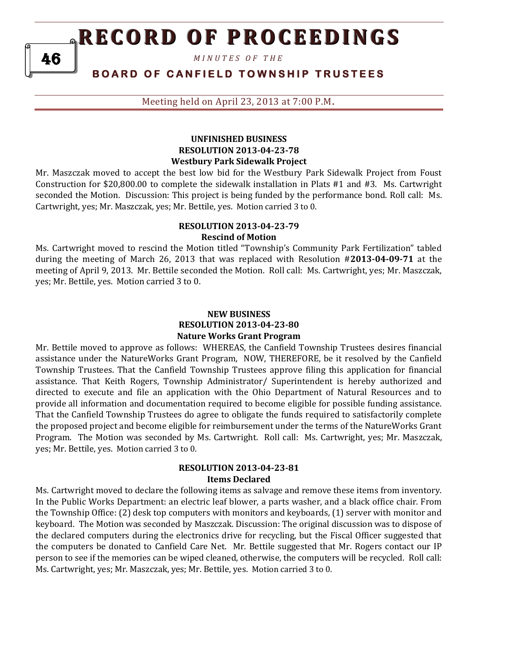*M I N U T E S O F T H E* 

### **B O A R D O F C A N F I E L D T O W N S H I P T R U S T E E S**

Meeting held on April 23, 2013 at 7:00 P.M**.**

#### **UNFINISHED BUSINESS RESOLUTION 2013-04-23-78 Westbury Park Sidewalk Project**

Mr. Maszczak moved to accept the best low bid for the Westbury Park Sidewalk Project from Foust Construction for \$20,800.00 to complete the sidewalk installation in Plats #1 and #3. Ms. Cartwright seconded the Motion. Discussion: This project is being funded by the performance bond. Roll call: Ms. Cartwright, yes; Mr. Maszczak, yes; Mr. Bettile, yes. Motion carried 3 to 0.

#### **RESOLUTION 2013-04-23-79 Rescind of Motion**

Ms. Cartwright moved to rescind the Motion titled "Township's Community Park Fertilization" tabled during the meeting of March 26, 2013 that was replaced with Resolution #**2013-04-09-71** at the meeting of April 9, 2013. Mr. Bettile seconded the Motion. Roll call: Ms. Cartwright, yes; Mr. Maszczak, yes; Mr. Bettile, yes. Motion carried 3 to 0.

#### **NEW BUSINESS RESOLUTION 2013-04-23-80 Nature Works Grant Program**

Mr. Bettile moved to approve as follows: WHEREAS, the Canfield Township Trustees desires financial assistance under the NatureWorks Grant Program, NOW, THEREFORE, be it resolved by the Canfield Township Trustees. That the Canfield Township Trustees approve filing this application for financial assistance. That Keith Rogers, Township Administrator/ Superintendent is hereby authorized and directed to execute and file an application with the Ohio Department of Natural Resources and to provide all information and documentation required to become eligible for possible funding assistance. That the Canfield Township Trustees do agree to obligate the funds required to satisfactorily complete the proposed project and become eligible for reimbursement under the terms of the NatureWorks Grant Program. The Motion was seconded by Ms. Cartwright. Roll call: Ms. Cartwright, yes; Mr. Maszczak, yes; Mr. Bettile, yes. Motion carried 3 to 0.

#### **RESOLUTION 2013-04-23-81 Items Declared**

Ms. Cartwright moved to declare the following items as salvage and remove these items from inventory. In the Public Works Department: an electric leaf blower, a parts washer, and a black office chair. From the Township Office: (2) desk top computers with monitors and keyboards, (1) server with monitor and keyboard. The Motion was seconded by Maszczak. Discussion: The original discussion was to dispose of the declared computers during the electronics drive for recycling, but the Fiscal Officer suggested that the computers be donated to Canfield Care Net. Mr. Bettile suggested that Mr. Rogers contact our IP person to see if the memories can be wiped cleaned, otherwise, the computers will be recycled. Roll call: Ms. Cartwright, yes; Mr. Maszczak, yes; Mr. Bettile, yes. Motion carried 3 to 0.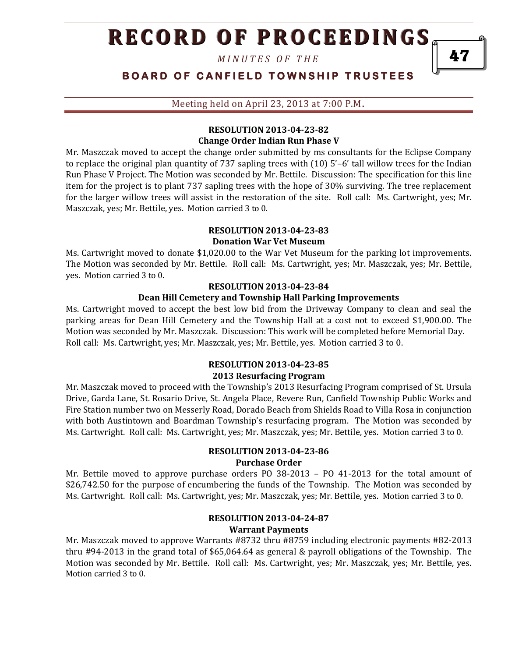*M I N U T E S O F T H E* 

**BOARD OF CANFIELD TOWNSHIP TRUSTEES** 

Meeting held on April 23, 2013 at 7:00 P.M**.**

#### **RESOLUTION 2013-04-23-82 Change Order Indian Run Phase V**

Mr. Maszczak moved to accept the change order submitted by ms consultants for the Eclipse Company to replace the original plan quantity of 737 sapling trees with (10) 5'–6' tall willow trees for the Indian Run Phase V Project. The Motion was seconded by Mr. Bettile. Discussion: The specification for this line item for the project is to plant 737 sapling trees with the hope of 30% surviving. The tree replacement for the larger willow trees will assist in the restoration of the site. Roll call: Ms. Cartwright, yes; Mr. Maszczak, yes; Mr. Bettile, yes. Motion carried 3 to 0.

#### **RESOLUTION 2013-04-23-83**

#### **Donation War Vet Museum**

Ms. Cartwright moved to donate \$1,020.00 to the War Vet Museum for the parking lot improvements. The Motion was seconded by Mr. Bettile. Roll call: Ms. Cartwright, yes; Mr. Maszczak, yes; Mr. Bettile, yes. Motion carried 3 to 0.

#### **RESOLUTION 2013-04-23-84**

#### **Dean Hill Cemetery and Township Hall Parking Improvements**

Ms. Cartwright moved to accept the best low bid from the Driveway Company to clean and seal the parking areas for Dean Hill Cemetery and the Township Hall at a cost not to exceed \$1,900.00. The Motion was seconded by Mr. Maszczak. Discussion: This work will be completed before Memorial Day. Roll call: Ms. Cartwright, yes; Mr. Maszczak, yes; Mr. Bettile, yes. Motion carried 3 to 0.

#### **RESOLUTION 2013-04-23-85 2013 Resurfacing Program**

Mr. Maszczak moved to proceed with the Township's 2013 Resurfacing Program comprised of St. Ursula Drive, Garda Lane, St. Rosario Drive, St. Angela Place, Revere Run, Canfield Township Public Works and Fire Station number two on Messerly Road, Dorado Beach from Shields Road to Villa Rosa in conjunction with both Austintown and Boardman Township's resurfacing program. The Motion was seconded by Ms. Cartwright. Roll call: Ms. Cartwright, yes; Mr. Maszczak, yes; Mr. Bettile, yes. Motion carried 3 to 0.

### **RESOLUTION 2013-04-23-86**

#### **Purchase Order**

Mr. Bettile moved to approve purchase orders PO 38-2013 – PO 41-2013 for the total amount of \$26,742.50 for the purpose of encumbering the funds of the Township. The Motion was seconded by Ms. Cartwright. Roll call: Ms. Cartwright, yes; Mr. Maszczak, yes; Mr. Bettile, yes. Motion carried 3 to 0.

#### **RESOLUTION 2013-04-24-87 Warrant Payments**

Mr. Maszczak moved to approve Warrants #8732 thru #8759 including electronic payments #82-2013 thru #94-2013 in the grand total of \$65,064.64 as general & payroll obligations of the Township. The Motion was seconded by Mr. Bettile. Roll call: Ms. Cartwright, yes; Mr. Maszczak, yes; Mr. Bettile, yes. Motion carried 3 to 0.